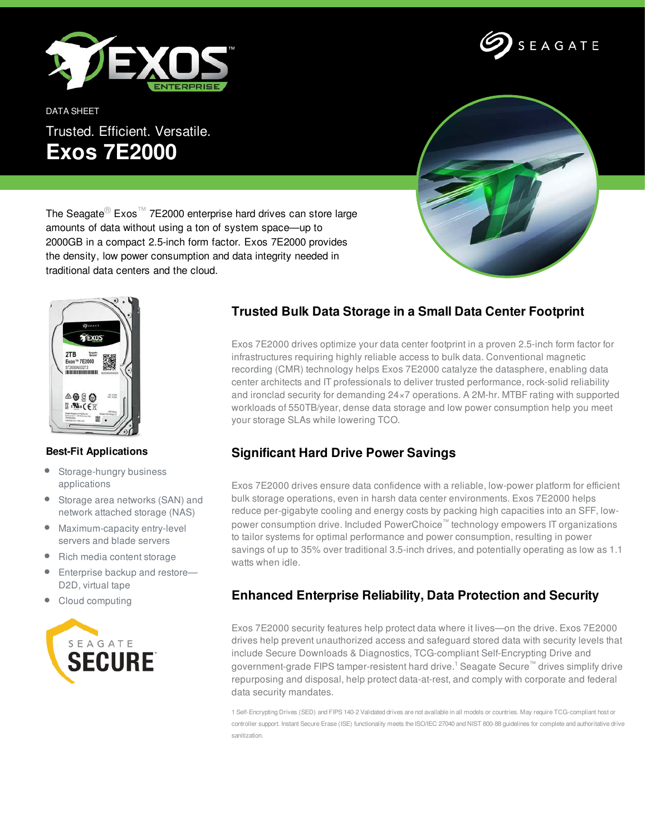

DATA SHEET

Trusted. Efficient. Versatile. **Exos 7E2000**



SEAGATE

The Seagate<sup>®</sup> Exos<sup>™</sup> 7E2000 enterprise hard drives can store large amounts of data without using a ton of system space—up to 2000GB in a compact 2.5-inch form factor. Exos 7E2000 provides the density, low power consumption and data integrity needed in traditional data centers and the cloud.



## **Best-Fit Applications**

- $\bullet$ Storage-hungry business applications
- $\bullet$ Storage area networks (SAN) and network attached storage (NAS)
- Maximum-capacity entry-level servers and blade servers
- Rich media content storage
- Enterprise backup and restore-D2D, virtual tape
- Cloud computing



## **Trusted Bulk Data Storage in a Small Data Center Footprint**

Exos 7E2000 drives optimize your data center footprint in a proven 2.5-inch form factor for infrastructures requiring highly reliable access to bulk data. Conventional magnetic recording (CMR) technology helps Exos 7E2000 catalyze the datasphere, enabling data center architects and IT professionals to deliver trusted performance, rock-solid reliability and ironclad security for demanding 24×7 operations. A 2M-hr. MTBF rating with supported workloads of 550TB/year, dense data storage and low power consumption help you meet your storage SLAs while lowering TCO.

## **Significant Hard Drive Power Savings**

Exos 7E2000 drives ensure data confidence with a reliable, low-power platform for efficient bulk storage operations, even in harsh data center environments. Exos 7E2000 helps reduce per-gigabyte cooling and energy costs by packing high capacities into an SFF, lowpower consumption drive. Included PowerChoice™ technology empowers IT organizations to tailor systems for optimal performance and power consumption, resulting in power savings of up to 35% over traditional 3.5-inch drives, and potentially operating as low as 1.1 watts when idle.

## **Enhanced Enterprise Reliability, Data Protection and Security**

Exos 7E2000 security features help protect data where it lives—on the drive. Exos 7E2000 drives help prevent unauthorized access and safeguard stored data with security levels that include Secure Downloads & Diagnostics, TCG-compliant Self-Encrypting Drive and government-grade FIPS tamper-resistent hard drive.<sup>1</sup> Seagate Secure™ drives simplify drive repurposing and disposal, help protect data-at-rest, and comply with corporate and federal data security mandates.

1 Self-Encrypting Drives (SED) and FIPS 140-2 Validated drives are not available in all models or countries. May require TCG-compliant host or controller support. Instant Secure Erase (ISE) functionality meets the ISO/IEC 27040 and NIST 800-88 guidelines for complete and authoritative drive sanitization.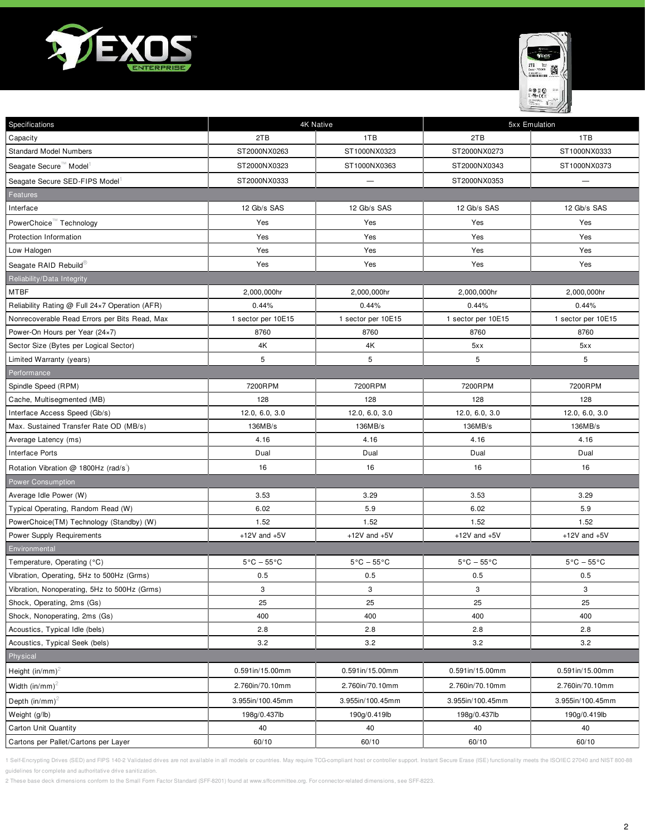



| Specifications                                 | 4K Native                      |                                | 5xx Emulation                  |                                |
|------------------------------------------------|--------------------------------|--------------------------------|--------------------------------|--------------------------------|
| Capacity                                       | 2TB                            | 1TB                            | 2TB                            | 1TB                            |
| <b>Standard Model Numbers</b>                  | ST2000NX0263                   | ST1000NX0323                   | ST2000NX0273                   | ST1000NX0333                   |
| Seagate Secure <sup>™</sup> Model <sup>1</sup> | ST2000NX0323                   | ST1000NX0363                   | ST2000NX0343                   | ST1000NX0373                   |
| Seagate Secure SED-FIPS Model                  | ST2000NX0333                   | $\overline{\phantom{0}}$       | ST2000NX0353                   | $\overline{\phantom{0}}$       |
| Features                                       |                                |                                |                                |                                |
| Interface                                      | 12 Gb/s SAS                    | 12 Gb/s SAS                    | 12 Gb/s SAS                    | 12 Gb/s SAS                    |
| PowerChoice™ Technology                        | Yes                            | Yes                            | Yes                            | Yes                            |
| Protection Information                         | Yes                            | Yes                            | Yes                            | Yes                            |
| Low Halogen                                    | Yes                            | Yes                            | Yes                            | Yes                            |
| Seagate RAID Rebuild®                          | Yes                            | Yes                            | Yes                            | Yes                            |
| Reliability/Data Integrity                     |                                |                                |                                |                                |
| MTBF                                           | 2,000,000hr                    | 2,000,000hr                    | 2,000,000hr                    | 2,000,000hr                    |
| Reliability Rating @ Full 24x7 Operation (AFR) | 0.44%                          | 0.44%                          | 0.44%                          | 0.44%                          |
| Nonrecoverable Read Errors per Bits Read, Max  | 1 sector per 10E15             | 1 sector per 10E15             | 1 sector per 10E15             | 1 sector per 10E15             |
| Power-On Hours per Year (24×7)                 | 8760                           | 8760                           | 8760                           | 8760                           |
| Sector Size (Bytes per Logical Sector)         | 4K                             | 4K                             | 5xx                            | 5xx                            |
| Limited Warranty (years)                       | 5                              | 5                              | 5                              | 5                              |
| Performance                                    |                                |                                |                                |                                |
| Spindle Speed (RPM)                            | 7200RPM                        | 7200RPM                        | 7200RPM                        | 7200RPM                        |
| Cache, Multisegmented (MB)                     | 128                            | 128                            | 128                            | 128                            |
| Interface Access Speed (Gb/s)                  | 12.0, 6.0, 3.0                 | 12.0, 6.0, 3.0                 | 12.0, 6.0, 3.0                 | 12.0, 6.0, 3.0                 |
| Max. Sustained Transfer Rate OD (MB/s)         | 136MB/s                        | 136MB/s                        | 136MB/s                        | 136MB/s                        |
| Average Latency (ms)                           | 4.16                           | 4.16                           | 4.16                           | 4.16                           |
| Interface Ports                                | Dual                           | Dual                           | Dual                           | Dual                           |
| Rotation Vibration @ 1800Hz (rad/s)            | 16                             | 16                             | 16                             | 16                             |
| <b>Power Consumption</b>                       |                                |                                |                                |                                |
| Average Idle Power (W)                         | 3.53                           | 3.29                           | 3.53                           | 3.29                           |
| Typical Operating, Random Read (W)             | 6.02                           | 5.9                            | 6.02                           | 5.9                            |
| PowerChoice(TM) Technology (Standby) (W)       | 1.52                           | 1.52                           | 1.52                           | 1.52                           |
| Power Supply Requirements                      | $+12V$ and $+5V$               | $+12V$ and $+5V$               | $+12V$ and $+5V$               | $+12V$ and $+5V$               |
| Environmental                                  |                                |                                |                                |                                |
| Temperature, Operating (°C)                    | $5^{\circ}$ C – $55^{\circ}$ C | $5^{\circ}$ C - $55^{\circ}$ C | $5^{\circ}$ C - $55^{\circ}$ C | $5^{\circ}$ C - $55^{\circ}$ C |
| Vibration, Operating, 5Hz to 500Hz (Grms)      | 0.5                            | 0.5                            | 0.5                            | 0.5                            |
| Vibration, Nonoperating, 5Hz to 500Hz (Grms)   | 3                              | 3                              | 3                              | 3                              |
| Shock, Operating, 2ms (Gs)                     | 25                             | 25                             | 25                             | 25                             |
| Shock, Nonoperating, 2ms (Gs)                  | 400                            | 400                            | 400                            | 400                            |
| Acoustics, Typical Idle (bels)                 | 2.8                            | 2.8                            | 2.8                            | 2.8                            |
| Acoustics, Typical Seek (bels)                 | 3.2                            | 3.2                            | 3.2                            | 3.2                            |
| Physical                                       |                                |                                |                                |                                |
| Height $(in/mm)^2$                             | 0.591in/15.00mm                | 0.591in/15.00mm                | 0.591in/15.00mm                | 0.591in/15.00mm                |
| Width (in/mm) <sup>2</sup>                     | 2.760in/70.10mm                | 2.760in/70.10mm                | 2.760in/70.10mm                | 2.760in/70.10mm                |
| Depth $(in/mm)^2$                              | 3.955in/100.45mm               | 3.955in/100.45mm               | 3.955in/100.45mm               | 3.955in/100.45mm               |
| Weight (g/lb)                                  | 198g/0.437lb                   | 190g/0.419lb                   | 198g/0.437lb                   | 190g/0.419lb                   |
| <b>Carton Unit Quantity</b>                    | 40                             | 40                             | 40                             | 40                             |
| Cartons per Pallet/Cartons per Layer           | 60/10                          | 60/10                          | 60/10                          | 60/10                          |
|                                                |                                |                                |                                |                                |

1 Self-Encrypting Drives (SED) and FIPS 140-2 Validated drives are not available in all models or countries. May require TCG-compliant host or controller support. Instant Secure Erase (ISE) functionality meets the ISO/IEC guidelines for complete and authoritative drive sanitization.

2 These base deck dimensions conform to the Small Form Factor Standard (SFF-8201) found at www.sffcommittee.org. For connector-related dimensions, see SFF-8223.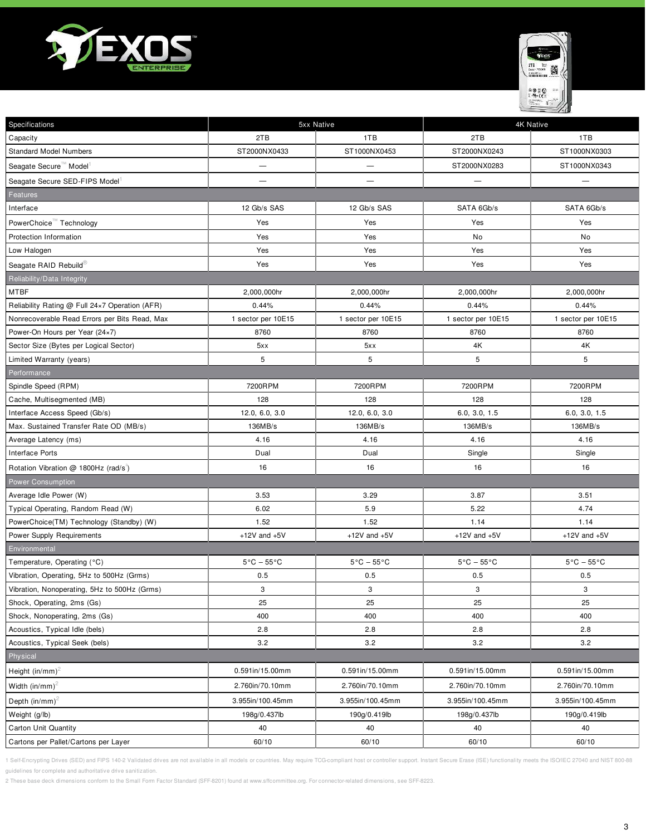



| Specifications                                 |                                 | 5xx Native                     | <b>4K Native</b>               |                                |
|------------------------------------------------|---------------------------------|--------------------------------|--------------------------------|--------------------------------|
| Capacity                                       | 2TB                             | 1TB                            | 2TB                            | 1TB                            |
| <b>Standard Model Numbers</b>                  | ST2000NX0433                    | ST1000NX0453                   | ST2000NX0243                   | ST1000NX0303                   |
| Seagate Secure <sup>™</sup> Model <sup>1</sup> |                                 | $\overline{\phantom{0}}$       | ST2000NX0283                   | ST1000NX0343                   |
| Seagate Secure SED-FIPS Model                  | -                               | —                              |                                |                                |
| Features                                       |                                 |                                |                                |                                |
| Interface                                      | 12 Gb/s SAS                     | 12 Gb/s SAS                    | SATA 6Gb/s                     | SATA 6Gb/s                     |
| PowerChoice™ Technology                        | Yes                             | Yes                            | Yes                            | Yes                            |
| Protection Information                         | Yes                             | Yes                            | No                             | No                             |
| Low Halogen                                    | Yes                             | Yes                            | Yes                            | Yes                            |
| Seagate RAID Rebuild®                          | Yes                             | Yes                            | Yes                            | Yes                            |
| Reliability/Data Integrity                     |                                 |                                |                                |                                |
| <b>MTBF</b>                                    | 2,000,000hr                     | 2,000,000hr                    | 2,000,000hr                    | 2,000,000hr                    |
| Reliability Rating @ Full 24×7 Operation (AFR) | 0.44%                           | 0.44%                          | 0.44%                          | 0.44%                          |
| Nonrecoverable Read Errors per Bits Read, Max  | 1 sector per 10E15              | 1 sector per 10E15             | 1 sector per 10E15             | 1 sector per 10E15             |
| Power-On Hours per Year (24×7)                 | 8760                            | 8760                           | 8760                           | 8760                           |
| Sector Size (Bytes per Logical Sector)         | 5xx                             | 5xx                            | 4K                             | 4K                             |
| Limited Warranty (years)                       | 5                               | 5                              | 5                              | $\sqrt{5}$                     |
| Performance                                    |                                 |                                |                                |                                |
| Spindle Speed (RPM)                            | 7200RPM                         | 7200RPM                        | 7200RPM                        | 7200RPM                        |
| Cache, Multisegmented (MB)                     | 128                             | 128                            | 128                            | 128                            |
| Interface Access Speed (Gb/s)                  | 12.0, 6.0, 3.0                  | 12.0, 6.0, 3.0                 | 6.0, 3.0, 1.5                  | 6.0, 3.0, 1.5                  |
| Max. Sustained Transfer Rate OD (MB/s)         | 136MB/s                         | 136MB/s                        | 136MB/s                        | 136MB/s                        |
| Average Latency (ms)                           | 4.16                            | 4.16                           | 4.16                           | 4.16                           |
| Interface Ports                                | Dual                            | Dual                           | Single                         | Single                         |
| Rotation Vibration @ 1800Hz (rad/s)            | 16                              | 16                             | 16                             | 16                             |
| Power Consumption                              |                                 |                                |                                |                                |
| Average Idle Power (W)                         | 3.53                            | 3.29                           | 3.87                           | 3.51                           |
| Typical Operating, Random Read (W)             | 6.02                            | 5.9                            | 5.22                           | 4.74                           |
| PowerChoice(TM) Technology (Standby) (W)       | 1.52                            | 1.52                           | 1.14                           | 1.14                           |
| Power Supply Requirements                      | $+12V$ and $+5V$                | $+12V$ and $+5V$               | $+12V$ and $+5V$               | $+12V$ and $+5V$               |
| Environmental                                  |                                 |                                |                                |                                |
| Temperature, Operating (°C)                    | $5^{\circ}$ C – 55 $^{\circ}$ C | $5^{\circ}$ C – $55^{\circ}$ C | $5^{\circ}$ C – $55^{\circ}$ C | $5^{\circ}$ C - $55^{\circ}$ C |
| Vibration, Operating, 5Hz to 500Hz (Grms)      | 0.5                             | 0.5                            | 0.5                            | 0.5                            |
| Vibration, Nonoperating, 5Hz to 500Hz (Grms)   | 3                               | 3                              | 3                              | 3                              |
| Shock, Operating, 2ms (Gs)                     | 25                              | 25                             | 25                             | 25                             |
| Shock, Nonoperating, 2ms (Gs)                  | 400                             | 400                            | 400                            | 400                            |
| Acoustics, Typical Idle (bels)                 | 2.8                             | 2.8                            | 2.8                            | 2.8                            |
| Acoustics, Typical Seek (bels)                 | 3.2                             | 3.2                            | 3.2                            | 3.2                            |
| Physical                                       |                                 |                                |                                |                                |
| Height (in/mm) <sup>2</sup>                    | 0.591in/15.00mm                 | 0.591in/15.00mm                | 0.591in/15.00mm                | 0.591in/15.00mm                |
| Width (in/mm) <sup>2</sup>                     | 2.760in/70.10mm                 | 2.760in/70.10mm                | 2.760in/70.10mm                | 2.760in/70.10mm                |
| Depth $(in/mm)^2$                              | 3.955in/100.45mm                | 3.955in/100.45mm               | 3.955in/100.45mm               | 3.955in/100.45mm               |
| Weight (g/lb)                                  | 198g/0.437lb                    | 190g/0.419lb                   | 198g/0.437lb                   | 190g/0.419lb                   |
| <b>Carton Unit Quantity</b>                    | 40                              | 40                             | 40                             | 40                             |
| Cartons per Pallet/Cartons per Layer           | 60/10                           | 60/10                          | 60/10                          | 60/10                          |

1 Self-Encrypting Drives (SED) and FIPS 140-2 Validated drives are not available in all models or countries. May require TCG-compliant host or controller support. Instant Secure Erase (ISE) functionality meets the ISO/IEC guidelines for complete and authoritative drive sanitization.

2 These base deck dimensions conform to the Small Form Factor Standard (SFF-8201) found at www.sffcommittee.org. For connector-related dimensions, see SFF-8223.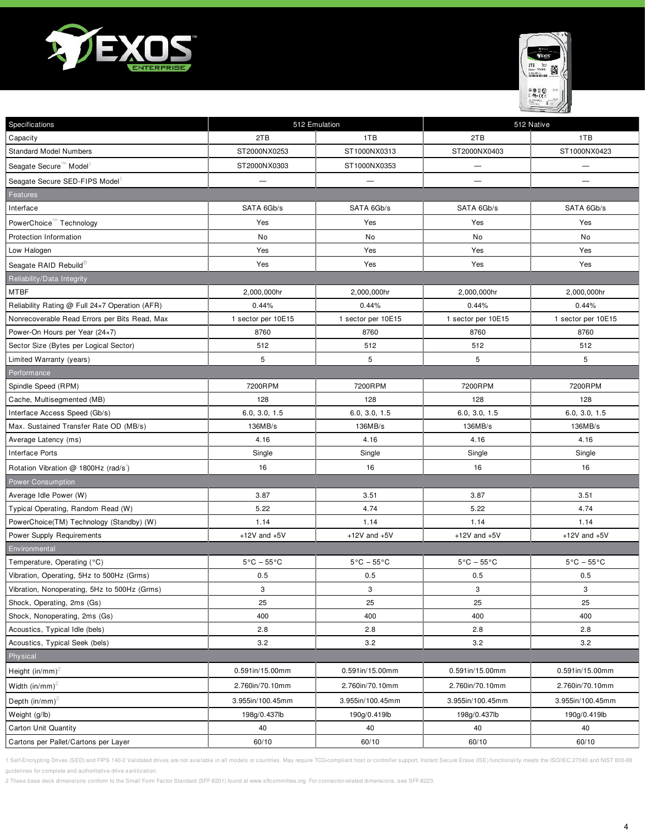



| Specifications                                 | 512 Emulation                  |                                | 512 Native                     |                                |
|------------------------------------------------|--------------------------------|--------------------------------|--------------------------------|--------------------------------|
| Capacity                                       | 2TB                            | 1TB                            | 2TB                            | 1TB                            |
| <b>Standard Model Numbers</b>                  | ST2000NX0253                   | ST1000NX0313                   | ST2000NX0403                   | ST1000NX0423                   |
| Seagate Secure <sup>™</sup> Model <sup>1</sup> | ST2000NX0303                   | ST1000NX0353                   |                                |                                |
| Seagate Secure SED-FIPS Model                  | $\overline{\phantom{0}}$       | $\overline{\phantom{0}}$       | —                              |                                |
| Features                                       |                                |                                |                                |                                |
| Interface                                      | SATA 6Gb/s                     | SATA 6Gb/s                     | SATA 6Gb/s                     | SATA 6Gb/s                     |
| PowerChoice™ Technology                        | Yes                            | Yes                            | Yes                            | Yes                            |
| Protection Information                         | No                             | No                             | No                             | No                             |
| Low Halogen                                    | Yes                            | Yes                            | Yes                            | Yes                            |
| Seagate RAID Rebuild®                          | Yes                            | Yes                            | Yes                            | Yes                            |
| Reliability/Data Integrity                     |                                |                                |                                |                                |
| MTBF                                           | 2,000,000hr                    | 2,000,000hr                    | 2,000,000hr                    | 2,000,000hr                    |
| Reliability Rating @ Full 24×7 Operation (AFR) | 0.44%                          | 0.44%                          | 0.44%                          | 0.44%                          |
| Nonrecoverable Read Errors per Bits Read, Max  | 1 sector per 10E15             | 1 sector per 10E15             | 1 sector per 10E15             | 1 sector per 10E15             |
| Power-On Hours per Year (24×7)                 | 8760                           | 8760                           | 8760                           | 8760                           |
| Sector Size (Bytes per Logical Sector)         | 512                            | 512                            | 512                            | 512                            |
| Limited Warranty (years)                       | 5                              | 5                              | 5                              | 5                              |
| Performance                                    |                                |                                |                                |                                |
| Spindle Speed (RPM)                            | 7200RPM                        | 7200RPM                        | 7200RPM                        | 7200RPM                        |
| Cache, Multisegmented (MB)                     | 128                            | 128                            | 128                            | 128                            |
| Interface Access Speed (Gb/s)                  | 6.0, 3.0, 1.5                  | 6.0, 3.0, 1.5                  | 6.0, 3.0, 1.5                  | 6.0, 3.0, 1.5                  |
| Max. Sustained Transfer Rate OD (MB/s)         | 136MB/s                        | 136MB/s                        | 136MB/s                        | 136MB/s                        |
| Average Latency (ms)                           | 4.16                           | 4.16                           | 4.16                           | 4.16                           |
| <b>Interface Ports</b>                         | Single                         | Single                         | Single                         | Single                         |
| Rotation Vibration @ 1800Hz (rad/s)            | 16                             | 16                             | 16                             | 16                             |
| <b>Power Consumption</b>                       |                                |                                |                                |                                |
| Average Idle Power (W)                         | 3.87                           | 3.51                           | 3.87                           | 3.51                           |
| Typical Operating, Random Read (W)             | 5.22                           | 4.74                           | 5.22                           | 4.74                           |
| PowerChoice(TM) Technology (Standby) (W)       | 1.14                           | 1.14                           | 1.14                           | 1.14                           |
| Power Supply Requirements                      | $+12V$ and $+5V$               | $+12V$ and $+5V$               | $+12V$ and $+5V$               | $+12V$ and $+5V$               |
| Environmental                                  |                                |                                |                                |                                |
| Temperature, Operating (°C)                    | $5^{\circ}$ C - $55^{\circ}$ C | $5^{\circ}$ C – $55^{\circ}$ C | $5^{\circ}$ C - $55^{\circ}$ C | $5^{\circ}$ C – $55^{\circ}$ C |
| Vibration, Operating, 5Hz to 500Hz (Grms)      | 0.5                            | 0.5                            | 0.5                            | 0.5                            |
| Vibration, Nonoperating, 5Hz to 500Hz (Grms)   | 3                              | 3                              | 3                              | 3                              |
| Shock, Operating, 2ms (Gs)                     | 25                             | 25                             | 25                             | 25                             |
| Shock, Nonoperating, 2ms (Gs)                  | 400                            | 400                            | 400                            | 400                            |
| Acoustics, Typical Idle (bels)                 | 2.8                            | 2.8                            | 2.8                            | 2.8                            |
| Acoustics, Typical Seek (bels)                 | 3.2                            | 3.2                            | 3.2                            | 3.2                            |
| Physical                                       |                                |                                |                                |                                |
| Height (in/mm) <sup>2</sup>                    | 0.591in/15.00mm                | 0.591in/15.00mm                | 0.591in/15.00mm                | 0.591in/15.00mm                |
| Width $(in/mm)^2$                              | 2.760in/70.10mm                | 2.760in/70.10mm                | 2.760in/70.10mm                | 2.760in/70.10mm                |
| Depth $(in/mm)^2$                              | 3.955in/100.45mm               | 3.955in/100.45mm               | 3.955in/100.45mm               | 3.955in/100.45mm               |
| Weight (g/lb)                                  | 198g/0.437lb                   | 190g/0.419lb                   | 198g/0.437lb                   | 190g/0.419lb                   |
| Carton Unit Quantity                           | 40                             | 40                             | 40                             | 40                             |
| Cartons per Pallet/Cartons per Layer           | 60/10                          | 60/10                          | 60/10                          | 60/10                          |

1 Self-Encrypting Drives (SED) and FIPS 140-2 Validated drives are not available in all models or countries. May require TCG-compliant host or controller support. Instant Secure Erase (ISE) functionality meets the ISO/IEC guidelines for complete and authoritative drive sanitization.

2 These base deck dimensions conform to the Small Form Factor Standard (SFF-8201) found at www.sffcommittee.org. For connector-related dimensions, see SFF-8223.